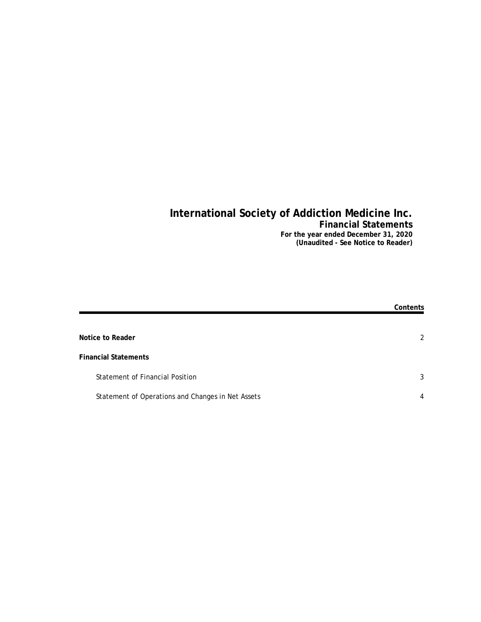## **International Society of Addiction Medicine Inc. Financial Statements For the year ended December 31, 2020**

**(Unaudited - See Notice to Reader)**

|                                                   | Contents |
|---------------------------------------------------|----------|
|                                                   |          |
| Notice to Reader                                  | 2        |
| <b>Financial Statements</b>                       |          |
| <b>Statement of Financial Position</b>            | 3        |
| Statement of Operations and Changes in Net Assets | 4        |
|                                                   |          |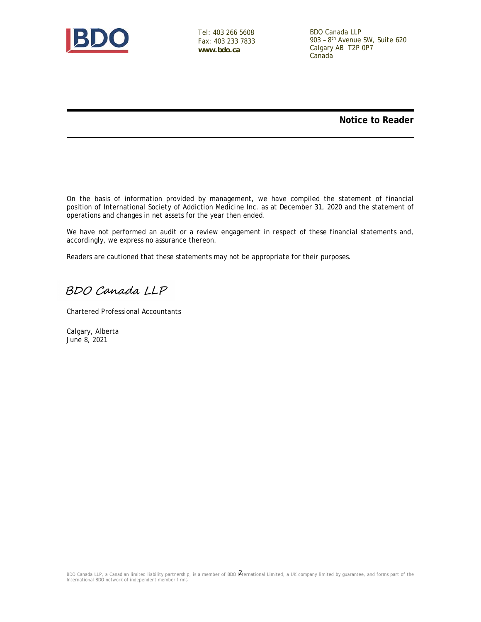

Tel: 403 266 5608 Fax: 403 233 7833 **www.bdo.ca**

BDO Canada LLP 903 – 8th Avenue SW, Suite 620 Calgary AB T2P 0P7 Canada

**Notice to Reader**

On the basis of information provided by management, we have compiled the statement of financial position of International Society of Addiction Medicine Inc. as at December 31, 2020 and the statement of operations and changes in net assets for the year then ended.

We have not performed an audit or a review engagement in respect of these financial statements and, accordingly, we express no assurance thereon.

Readers are cautioned that these statements may not be appropriate for their purposes.

BDO Canada LLP

Chartered Professional Accountants

Calgary, Alberta June 8, 2021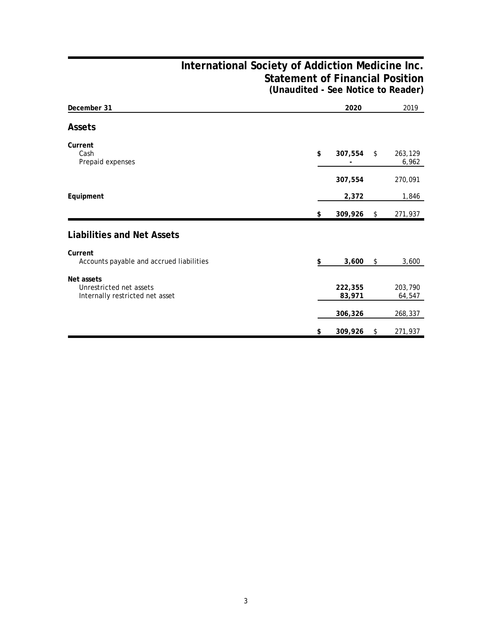## **International Society of Addiction Medicine Inc. Statement of Financial Position (Unaudited - See Notice to Reader)**

| December 31                                                              |     | 2020              | 2019                   |
|--------------------------------------------------------------------------|-----|-------------------|------------------------|
| Assets                                                                   |     |                   |                        |
| Current<br>Cash<br>Prepaid expenses                                      | \$  | 307,554           | \$<br>263,129<br>6,962 |
|                                                                          |     | 307,554           | 270,091                |
| Equipment                                                                |     | 2,372             | 1,846                  |
|                                                                          | \$  | 309,926           | \$<br>271,937          |
| Liabilities and Net Assets                                               |     |                   |                        |
| Current<br>Accounts payable and accrued liabilities                      | \$. | 3,600             | \$<br>3,600            |
| Net assets<br>Unrestricted net assets<br>Internally restricted net asset |     | 222,355<br>83,971 | 203,790<br>64,547      |
|                                                                          |     | 306,326           | 268,337                |
|                                                                          | \$  | 309,926           | \$<br>271,937          |